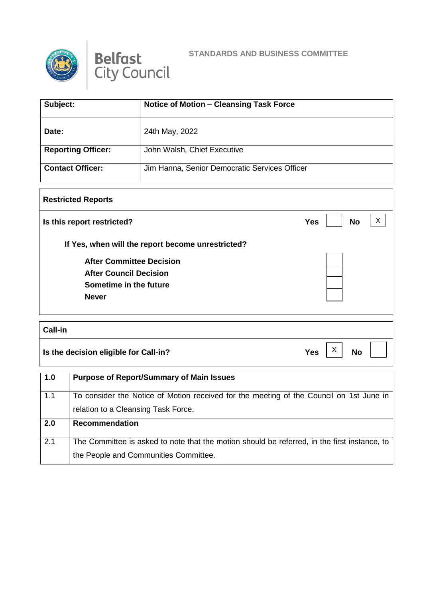



## **STANDARDS AND BUSINESS COMMITTEE**

| Subject:                  | <b>Notice of Motion - Cleansing Task Force</b> |
|---------------------------|------------------------------------------------|
| Date:                     | 24th May, 2022                                 |
| <b>Reporting Officer:</b> | John Walsh, Chief Executive                    |
| <b>Contact Officer:</b>   | Jim Hanna, Senior Democratic Services Officer  |

## **Restricted Reports Is this report restricted? No If Yes, when will the report become unrestricted? After Committee Decision After Council Decision Sometime in the future Never**  $\vert x \vert$

## **Call-in Is the decision eligible for Call-in?**  $Yes \begin{bmatrix} X \\ Y \end{bmatrix}$  No  $\vert x \vert$

| 1.0 | <b>Purpose of Report/Summary of Main Issues</b>                                              |
|-----|----------------------------------------------------------------------------------------------|
| 1.1 | To consider the Notice of Motion received for the meeting of the Council on 1st June in      |
|     | relation to a Cleansing Task Force.                                                          |
| 2.0 | <b>Recommendation</b>                                                                        |
|     |                                                                                              |
| 2.1 | The Committee is asked to note that the motion should be referred, in the first instance, to |
|     | the People and Communities Committee.                                                        |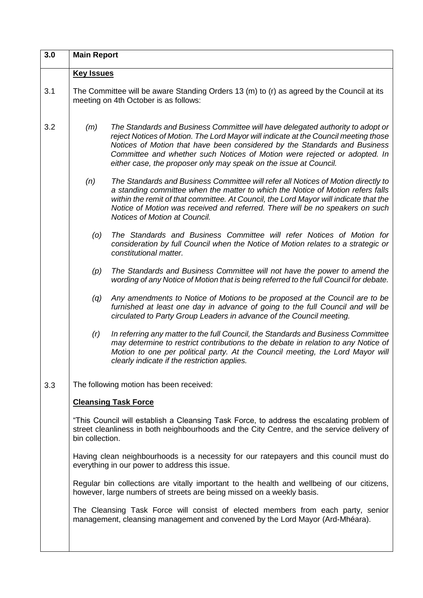| 3.0                                            | <b>Main Report</b>                                                                                                                                                                                         |                                                                                                                                                                                                                                                                                                                                                                                                      |
|------------------------------------------------|------------------------------------------------------------------------------------------------------------------------------------------------------------------------------------------------------------|------------------------------------------------------------------------------------------------------------------------------------------------------------------------------------------------------------------------------------------------------------------------------------------------------------------------------------------------------------------------------------------------------|
|                                                | <b>Key Issues</b>                                                                                                                                                                                          |                                                                                                                                                                                                                                                                                                                                                                                                      |
| 3.1                                            | The Committee will be aware Standing Orders 13 (m) to (r) as agreed by the Council at its<br>meeting on 4th October is as follows:                                                                         |                                                                                                                                                                                                                                                                                                                                                                                                      |
| 3.2                                            | (m)                                                                                                                                                                                                        | The Standards and Business Committee will have delegated authority to adopt or<br>reject Notices of Motion. The Lord Mayor will indicate at the Council meeting those<br>Notices of Motion that have been considered by the Standards and Business<br>Committee and whether such Notices of Motion were rejected or adopted. In<br>either case, the proposer only may speak on the issue at Council. |
|                                                | (n)                                                                                                                                                                                                        | The Standards and Business Committee will refer all Notices of Motion directly to<br>a standing committee when the matter to which the Notice of Motion refers falls<br>within the remit of that committee. At Council, the Lord Mayor will indicate that the<br>Notice of Motion was received and referred. There will be no speakers on such<br>Notices of Motion at Council.                      |
|                                                | $\left( 0 \right)$                                                                                                                                                                                         | The Standards and Business Committee will refer Notices of Motion for<br>consideration by full Council when the Notice of Motion relates to a strategic or<br>constitutional matter.                                                                                                                                                                                                                 |
|                                                | (p)                                                                                                                                                                                                        | The Standards and Business Committee will not have the power to amend the<br>wording of any Notice of Motion that is being referred to the full Council for debate.                                                                                                                                                                                                                                  |
|                                                | (q)                                                                                                                                                                                                        | Any amendments to Notice of Motions to be proposed at the Council are to be<br>furnished at least one day in advance of going to the full Council and will be<br>circulated to Party Group Leaders in advance of the Council meeting.                                                                                                                                                                |
|                                                | (r)                                                                                                                                                                                                        | In referring any matter to the full Council, the Standards and Business Committee<br>may determine to restrict contributions to the debate in relation to any Notice of<br>Motion to one per political party. At the Council meeting, the Lord Mayor will<br>clearly indicate if the restriction applies.                                                                                            |
| 3.3                                            | The following motion has been received:                                                                                                                                                                    |                                                                                                                                                                                                                                                                                                                                                                                                      |
|                                                | <b>Cleansing Task Force</b>                                                                                                                                                                                |                                                                                                                                                                                                                                                                                                                                                                                                      |
|                                                | "This Council will establish a Cleansing Task Force, to address the escalating problem of<br>street cleanliness in both neighbourhoods and the City Centre, and the service delivery of<br>bin collection. |                                                                                                                                                                                                                                                                                                                                                                                                      |
| everything in our power to address this issue. |                                                                                                                                                                                                            | Having clean neighbourhoods is a necessity for our ratepayers and this council must do                                                                                                                                                                                                                                                                                                               |
|                                                | Regular bin collections are vitally important to the health and wellbeing of our citizens,<br>however, large numbers of streets are being missed on a weekly basis.                                        |                                                                                                                                                                                                                                                                                                                                                                                                      |
|                                                |                                                                                                                                                                                                            | The Cleansing Task Force will consist of elected members from each party, senior<br>management, cleansing management and convened by the Lord Mayor (Ard-Mhéara).                                                                                                                                                                                                                                    |
|                                                |                                                                                                                                                                                                            |                                                                                                                                                                                                                                                                                                                                                                                                      |